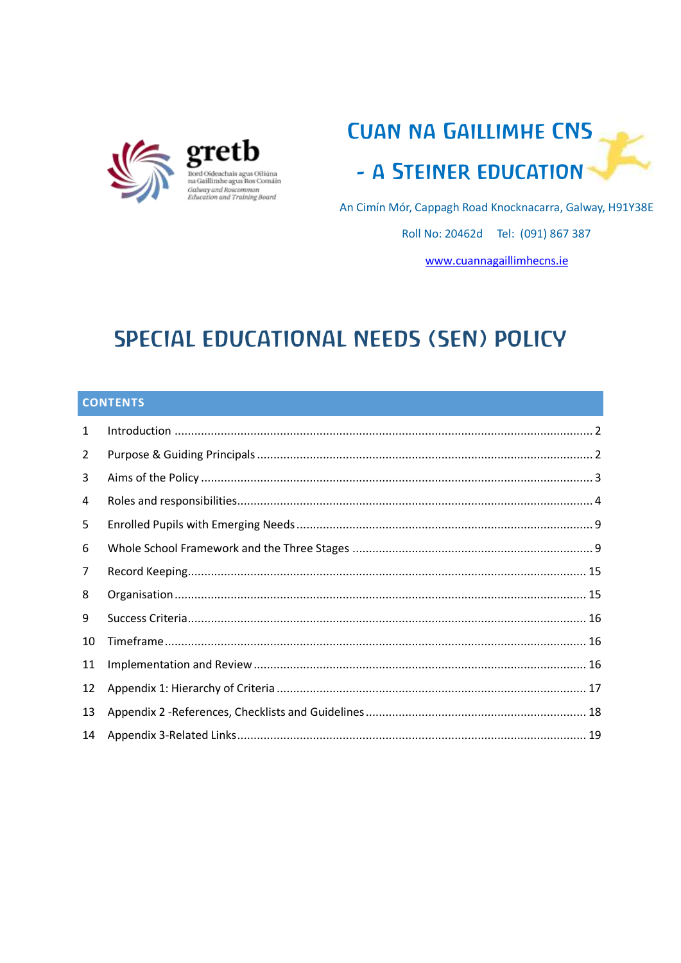



An Cimín Mór, Cappagh Road Knocknacarra, Galway, H91Y38E

Roll No: 20462d Tel: (091) 867 387

www.cuannagaillimhecns.ie

# **SPECIAL EDUCATIONAL NEEDS (SEN) POLICY**

# **CONTENTS**

| 1              |  |
|----------------|--|
| $\overline{2}$ |  |
| 3              |  |
| 4              |  |
| 5              |  |
| 6              |  |
| 7              |  |
| 8              |  |
| 9              |  |
| 10             |  |
| 11             |  |
| 12             |  |
| 13             |  |
| 14             |  |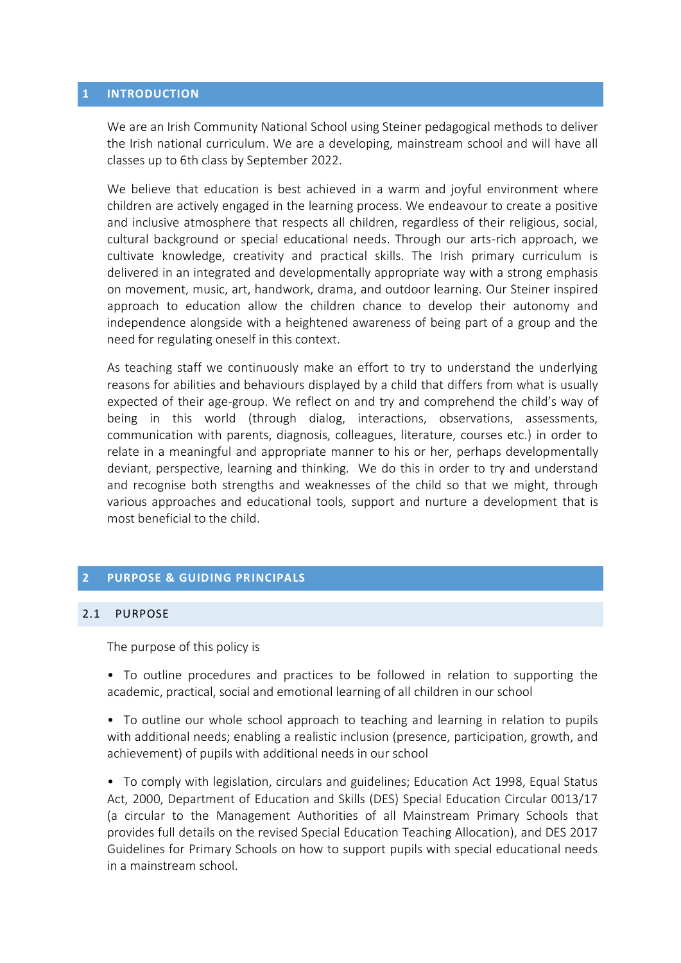#### <span id="page-1-0"></span>**1 INTRODUCTION**

We are an Irish Community National School using Steiner pedagogical methods to deliver the Irish national curriculum. We are a developing, mainstream school and will have all classes up to 6th class by September 2022.

We believe that education is best achieved in a warm and joyful environment where children are actively engaged in the learning process. We endeavour to create a positive and inclusive atmosphere that respects all children, regardless of their religious, social, cultural background or special educational needs. Through our arts-rich approach, we cultivate knowledge, creativity and practical skills. The Irish primary curriculum is delivered in an integrated and developmentally appropriate way with a strong emphasis on movement, music, art, handwork, drama, and outdoor learning. Our Steiner inspired approach to education allow the children chance to develop their autonomy and independence alongside with a heightened awareness of being part of a group and the need for regulating oneself in this context.

As teaching staff we continuously make an effort to try to understand the underlying reasons for abilities and behaviours displayed by a child that differs from what is usually expected of their age-group. We reflect on and try and comprehend the child's way of being in this world (through dialog, interactions, observations, assessments, communication with parents, diagnosis, colleagues, literature, courses etc.) in order to relate in a meaningful and appropriate manner to his or her, perhaps developmentally deviant, perspective, learning and thinking. We do this in order to try and understand and recognise both strengths and weaknesses of the child so that we might, through various approaches and educational tools, support and nurture a development that is most beneficial to the child.

#### <span id="page-1-1"></span>**2 PURPOSE & GUIDING PRINCIPALS**

### 2.1 PURPOSE

The purpose of this policy is

• To outline procedures and practices to be followed in relation to supporting the academic, practical, social and emotional learning of all children in our school

• To outline our whole school approach to teaching and learning in relation to pupils with additional needs; enabling a realistic inclusion (presence, participation, growth, and achievement) of pupils with additional needs in our school

• To comply with legislation, circulars and guidelines; Education Act 1998, Equal Status Act, 2000, Department of Education and Skills (DES) Special Education Circular 0013/17 (a circular to the Management Authorities of all Mainstream Primary Schools that provides full details on the revised Special Education Teaching Allocation), and DES 2017 Guidelines for Primary Schools on how to support pupils with special educational needs in a mainstream school.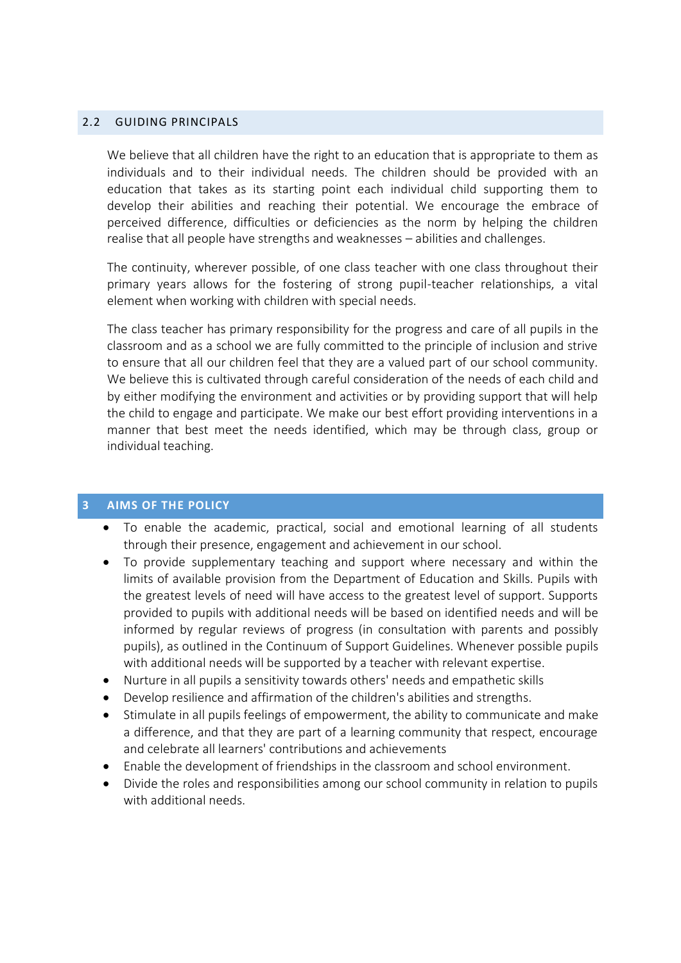## 2.2 GUIDING PRINCIPALS

We believe that all children have the right to an education that is appropriate to them as individuals and to their individual needs. The children should be provided with an education that takes as its starting point each individual child supporting them to develop their abilities and reaching their potential. We encourage the embrace of perceived difference, difficulties or deficiencies as the norm by helping the children realise that all people have strengths and weaknesses – abilities and challenges.

The continuity, wherever possible, of one class teacher with one class throughout their primary years allows for the fostering of strong pupil-teacher relationships, a vital element when working with children with special needs.

The class teacher has primary responsibility for the progress and care of all pupils in the classroom and as a school we are fully committed to the principle of inclusion and strive to ensure that all our children feel that they are a valued part of our school community. We believe this is cultivated through careful consideration of the needs of each child and by either modifying the environment and activities or by providing support that will help the child to engage and participate. We make our best effort providing interventions in a manner that best meet the needs identified, which may be through class, group or individual teaching.

#### <span id="page-2-0"></span>**3 AIMS OF THE POLICY**

- To enable the academic, practical, social and emotional learning of all students through their presence, engagement and achievement in our school.
- To provide supplementary teaching and support where necessary and within the limits of available provision from the Department of Education and Skills. Pupils with the greatest levels of need will have access to the greatest level of support. Supports provided to pupils with additional needs will be based on identified needs and will be informed by regular reviews of progress (in consultation with parents and possibly pupils), as outlined in the Continuum of Support Guidelines. Whenever possible pupils with additional needs will be supported by a teacher with relevant expertise.
- Nurture in all pupils a sensitivity towards others' needs and empathetic skills
- Develop resilience and affirmation of the children's abilities and strengths.
- Stimulate in all pupils feelings of empowerment, the ability to communicate and make a difference, and that they are part of a learning community that respect, encourage and celebrate all learners' contributions and achievements
- Enable the development of friendships in the classroom and school environment.
- Divide the roles and responsibilities among our school community in relation to pupils with additional needs.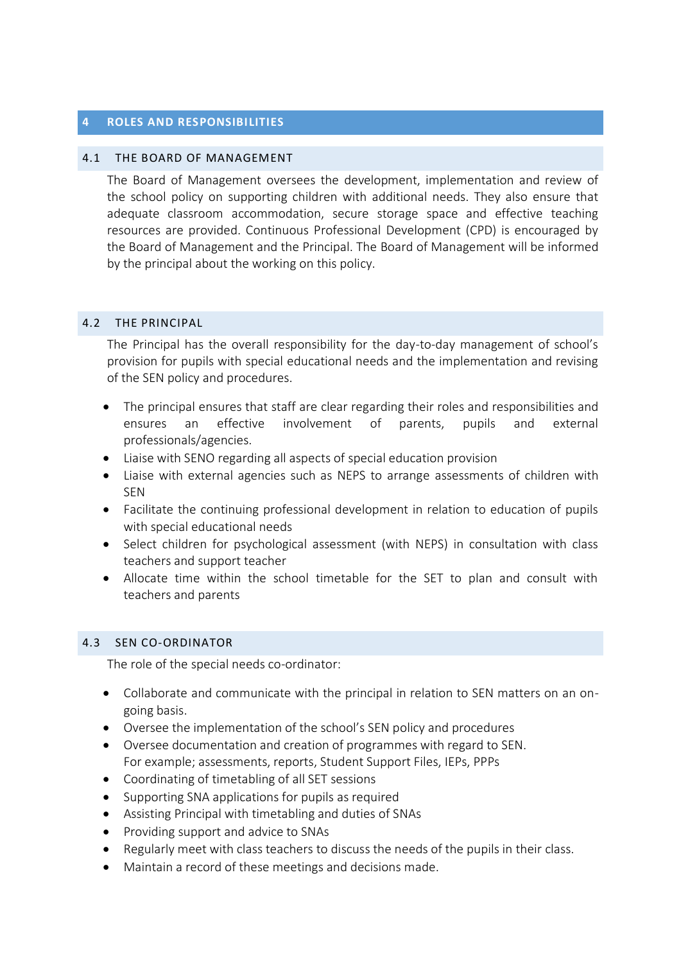### <span id="page-3-0"></span>**4 ROLES AND RESPONSIBI LITIES**

#### 4.1 THE BOARD OF MANAGEMENT

The Board of Management oversees the development, implementation and review of the school policy on supporting children with additional needs. They also ensure that adequate classroom accommodation, secure storage space and effective teaching resources are provided. Continuous Professional Development (CPD) is encouraged by the Board of Management and the Principal. The Board of Management will be informed by the principal about the working on this policy.

## 4.2 THE PRINCIPAL

The Principal has the overall responsibility for the day-to-day management of school's provision for pupils with special educational needs and the implementation and revising of the SEN policy and procedures.

- The principal ensures that staff are clear regarding their roles and responsibilities and ensures an effective involvement of parents, pupils and external professionals/agencies.
- Liaise with SENO regarding all aspects of special education provision
- Liaise with external agencies such as NEPS to arrange assessments of children with SEN
- Facilitate the continuing professional development in relation to education of pupils with special educational needs
- Select children for psychological assessment (with NEPS) in consultation with class teachers and support teacher
- Allocate time within the school timetable for the SET to plan and consult with teachers and parents

## 4.3 SEN CO-ORDINATOR

The role of the special needs co-ordinator:

- Collaborate and communicate with the principal in relation to SEN matters on an ongoing basis.
- Oversee the implementation of the school's SEN policy and procedures
- Oversee documentation and creation of programmes with regard to SEN. For example; assessments, reports, Student Support Files, IEPs, PPPs
- Coordinating of timetabling of all SET sessions
- Supporting SNA applications for pupils as required
- Assisting Principal with timetabling and duties of SNAs
- Providing support and advice to SNAs
- Regularly meet with class teachers to discuss the needs of the pupils in their class.
- Maintain a record of these meetings and decisions made.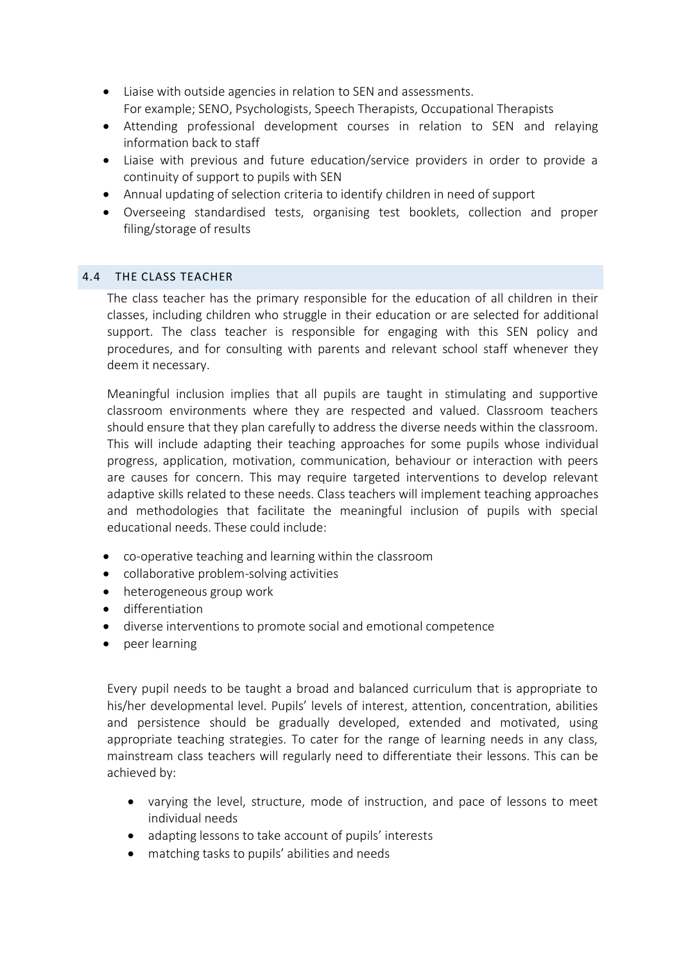- Liaise with outside agencies in relation to SEN and assessments. For example; SENO, Psychologists, Speech Therapists, Occupational Therapists
- Attending professional development courses in relation to SEN and relaying information back to staff
- Liaise with previous and future education/service providers in order to provide a continuity of support to pupils with SEN
- Annual updating of selection criteria to identify children in need of support
- Overseeing standardised tests, organising test booklets, collection and proper filing/storage of results

# 4.4 THE CLASS TEACHER

The class teacher has the primary responsible for the education of all children in their classes, including children who struggle in their education or are selected for additional support. The class teacher is responsible for engaging with this SEN policy and procedures, and for consulting with parents and relevant school staff whenever they deem it necessary.

Meaningful inclusion implies that all pupils are taught in stimulating and supportive classroom environments where they are respected and valued. Classroom teachers should ensure that they plan carefully to address the diverse needs within the classroom. This will include adapting their teaching approaches for some pupils whose individual progress, application, motivation, communication, behaviour or interaction with peers are causes for concern. This may require targeted interventions to develop relevant adaptive skills related to these needs. Class teachers will implement teaching approaches and methodologies that facilitate the meaningful inclusion of pupils with special educational needs. These could include:

- co-operative teaching and learning within the classroom
- collaborative problem-solving activities
- heterogeneous group work
- **•** differentiation
- diverse interventions to promote social and emotional competence
- peer learning

Every pupil needs to be taught a broad and balanced curriculum that is appropriate to his/her developmental level. Pupils' levels of interest, attention, concentration, abilities and persistence should be gradually developed, extended and motivated, using appropriate teaching strategies. To cater for the range of learning needs in any class, mainstream class teachers will regularly need to differentiate their lessons. This can be achieved by:

- varying the level, structure, mode of instruction, and pace of lessons to meet individual needs
- adapting lessons to take account of pupils' interests
- matching tasks to pupils' abilities and needs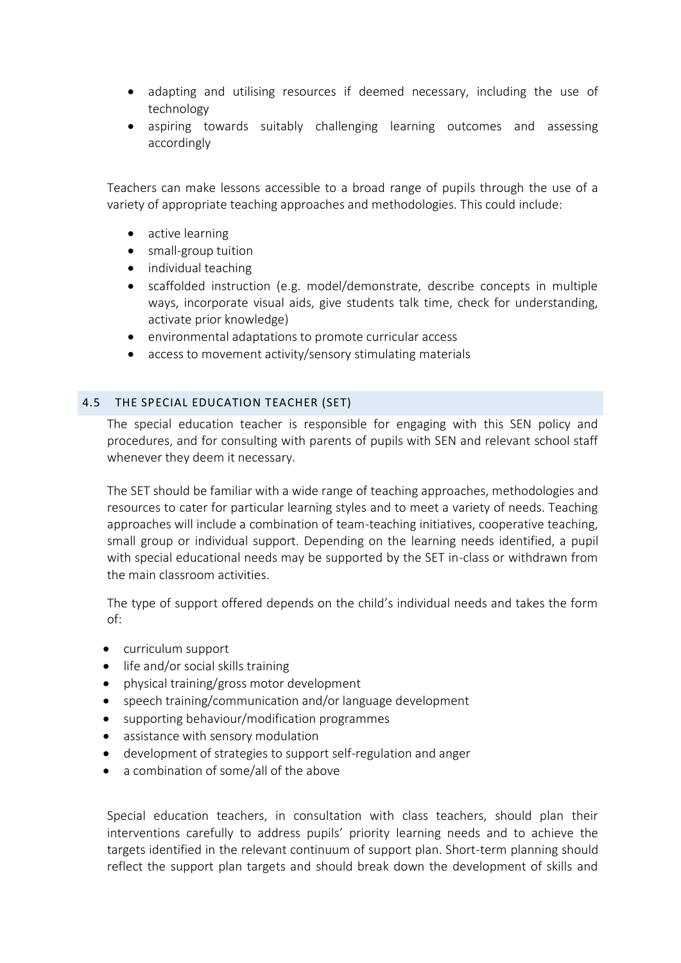- adapting and utilising resources if deemed necessary, including the use of technology
- aspiring towards suitably challenging learning outcomes and assessing accordingly

Teachers can make lessons accessible to a broad range of pupils through the use of a variety of appropriate teaching approaches and methodologies. This could include:

- active learning
- small-group tuition
- individual teaching
- scaffolded instruction (e.g. model/demonstrate, describe concepts in multiple ways, incorporate visual aids, give students talk time, check for understanding, activate prior knowledge)
- environmental adaptations to promote curricular access
- access to movement activity/sensory stimulating materials

## 4.5 THE SPECIAL EDUCATION TEACHER (SET)

The special education teacher is responsible for engaging with this SEN policy and procedures, and for consulting with parents of pupils with SEN and relevant school staff whenever they deem it necessary.

The SET should be familiar with a wide range of teaching approaches, methodologies and resources to cater for particular learning styles and to meet a variety of needs. Teaching approaches will include a combination of team-teaching initiatives, cooperative teaching, small group or individual support. Depending on the learning needs identified, a pupil with special educational needs may be supported by the SET in-class or withdrawn from the main classroom activities.

The type of support offered depends on the child's individual needs and takes the form of:

- curriculum support
- life and/or social skills training
- physical training/gross motor development
- speech training/communication and/or language development
- supporting behaviour/modification programmes
- assistance with sensory modulation
- development of strategies to support self-regulation and anger
- a combination of some/all of the above

Special education teachers, in consultation with class teachers, should plan their interventions carefully to address pupils' priority learning needs and to achieve the targets identified in the relevant continuum of support plan. Short-term planning should reflect the support plan targets and should break down the development of skills and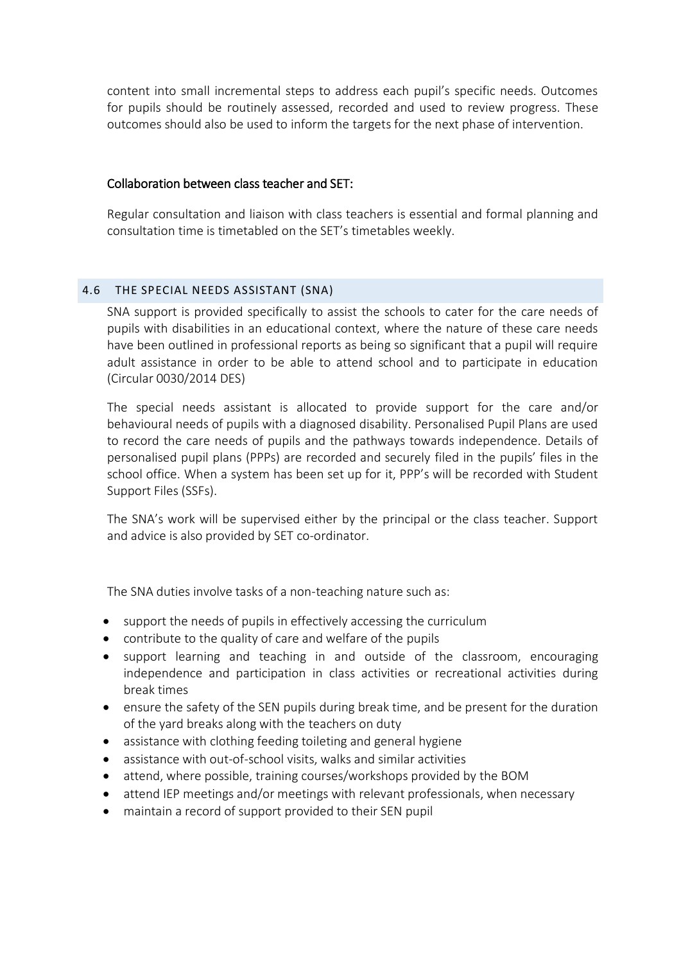content into small incremental steps to address each pupil's specific needs. Outcomes for pupils should be routinely assessed, recorded and used to review progress. These outcomes should also be used to inform the targets for the next phase of intervention.

# Collaboration between class teacher and SET:

Regular consultation and liaison with class teachers is essential and formal planning and consultation time is timetabled on the SET's timetables weekly.

# 4.6 THE SPECIAL NEEDS ASSISTANT (SNA)

SNA support is provided specifically to assist the schools to cater for the care needs of pupils with disabilities in an educational context, where the nature of these care needs have been outlined in professional reports as being so significant that a pupil will require adult assistance in order to be able to attend school and to participate in education (Circular 0030/2014 DES)

The special needs assistant is allocated to provide support for the care and/or behavioural needs of pupils with a diagnosed disability. Personalised Pupil Plans are used to record the care needs of pupils and the pathways towards independence. Details of personalised pupil plans (PPPs) are recorded and securely filed in the pupils' files in the school office. When a system has been set up for it, PPP's will be recorded with Student Support Files (SSFs).

The SNA's work will be supervised either by the principal or the class teacher. Support and advice is also provided by SET co-ordinator.

The SNA duties involve tasks of a non-teaching nature such as:

- support the needs of pupils in effectively accessing the curriculum
- contribute to the quality of care and welfare of the pupils
- support learning and teaching in and outside of the classroom, encouraging independence and participation in class activities or recreational activities during break times
- ensure the safety of the SEN pupils during break time, and be present for the duration of the yard breaks along with the teachers on duty
- assistance with clothing feeding toileting and general hygiene
- assistance with out-of-school visits, walks and similar activities
- attend, where possible, training courses/workshops provided by the BOM
- attend IEP meetings and/or meetings with relevant professionals, when necessary
- maintain a record of support provided to their SEN pupil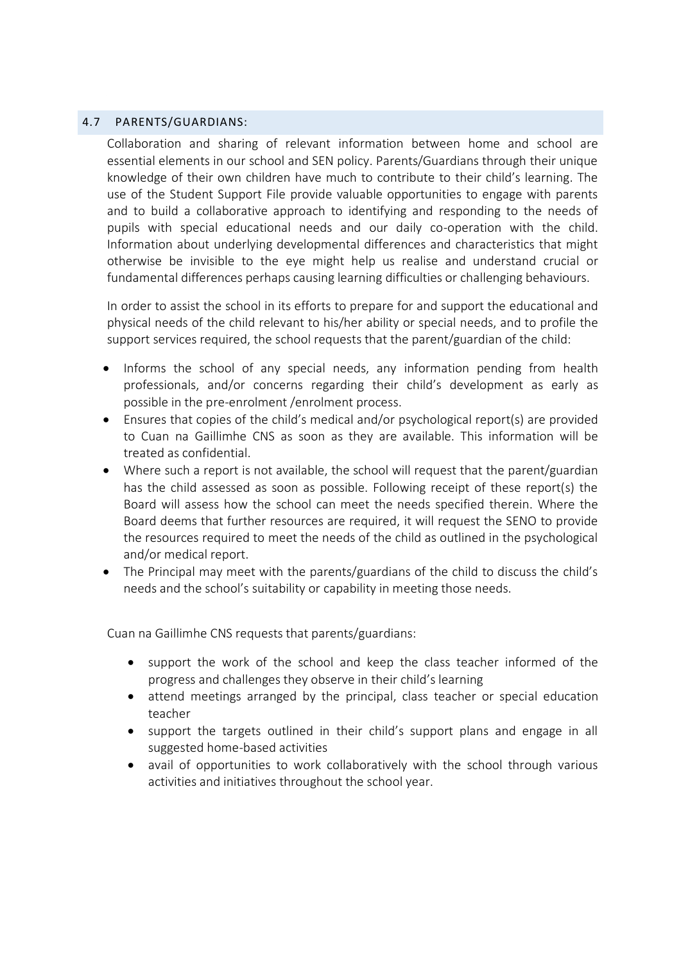# 4.7 PARENTS/GUARDIANS:

Collaboration and sharing of relevant information between home and school are essential elements in our school and SEN policy. Parents/Guardians through their unique knowledge of their own children have much to contribute to their child's learning. The use of the Student Support File provide valuable opportunities to engage with parents and to build a collaborative approach to identifying and responding to the needs of pupils with special educational needs and our daily co-operation with the child. Information about underlying developmental differences and characteristics that might otherwise be invisible to the eye might help us realise and understand crucial or fundamental differences perhaps causing learning difficulties or challenging behaviours.

In order to assist the school in its efforts to prepare for and support the educational and physical needs of the child relevant to his/her ability or special needs, and to profile the support services required, the school requests that the parent/guardian of the child:

- Informs the school of any special needs, any information pending from health professionals, and/or concerns regarding their child's development as early as possible in the pre-enrolment /enrolment process.
- Ensures that copies of the child's medical and/or psychological report(s) are provided to Cuan na Gaillimhe CNS as soon as they are available. This information will be treated as confidential.
- Where such a report is not available, the school will request that the parent/guardian has the child assessed as soon as possible. Following receipt of these report(s) the Board will assess how the school can meet the needs specified therein. Where the Board deems that further resources are required, it will request the SENO to provide the resources required to meet the needs of the child as outlined in the psychological and/or medical report.
- The Principal may meet with the parents/guardians of the child to discuss the child's needs and the school's suitability or capability in meeting those needs.

Cuan na Gaillimhe CNS requests that parents/guardians:

- support the work of the school and keep the class teacher informed of the progress and challenges they observe in their child's learning
- attend meetings arranged by the principal, class teacher or special education teacher
- support the targets outlined in their child's support plans and engage in all suggested home-based activities
- avail of opportunities to work collaboratively with the school through various activities and initiatives throughout the school year.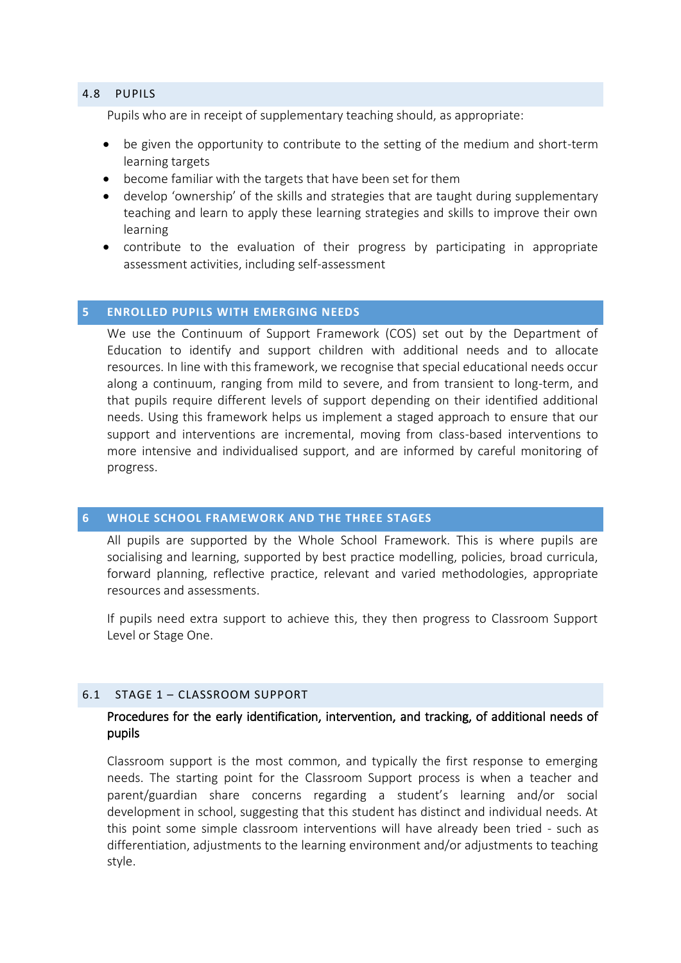#### 4.8 PUPILS

Pupils who are in receipt of supplementary teaching should, as appropriate:

- be given the opportunity to contribute to the setting of the medium and short-term learning targets
- become familiar with the targets that have been set for them
- develop 'ownership' of the skills and strategies that are taught during supplementary teaching and learn to apply these learning strategies and skills to improve their own learning
- contribute to the evaluation of their progress by participating in appropriate assessment activities, including self-assessment

#### <span id="page-8-0"></span>**5 ENROLLED PUPILS WITH EMERGING NEEDS**

We use the Continuum of Support Framework (COS) set out by the Department of Education to identify and support children with additional needs and to allocate resources. In line with this framework, we recognise that special educational needs occur along a continuum, ranging from mild to severe, and from transient to long-term, and that pupils require different levels of support depending on their identified additional needs. Using this framework helps us implement a staged approach to ensure that our support and interventions are incremental, moving from class-based interventions to more intensive and individualised support, and are informed by careful monitoring of progress.

### <span id="page-8-1"></span>**6 WHOLE SCHOOL FRAMEWORK AND THE THREE STAGES**

All pupils are supported by the Whole School Framework. This is where pupils are socialising and learning, supported by best practice modelling, policies, broad curricula, forward planning, reflective practice, relevant and varied methodologies, appropriate resources and assessments.

If pupils need extra support to achieve this, they then progress to Classroom Support Level or Stage One.

#### 6.1 STAGE 1 – CLASSROOM SUPPORT

# Procedures for the early identification, intervention, and tracking, of additional needs of pupils

Classroom support is the most common, and typically the first response to emerging needs. The starting point for the Classroom Support process is when a teacher and parent/guardian share concerns regarding a student's learning and/or social development in school, suggesting that this student has distinct and individual needs. At this point some simple classroom interventions will have already been tried - such as differentiation, adjustments to the learning environment and/or adjustments to teaching style.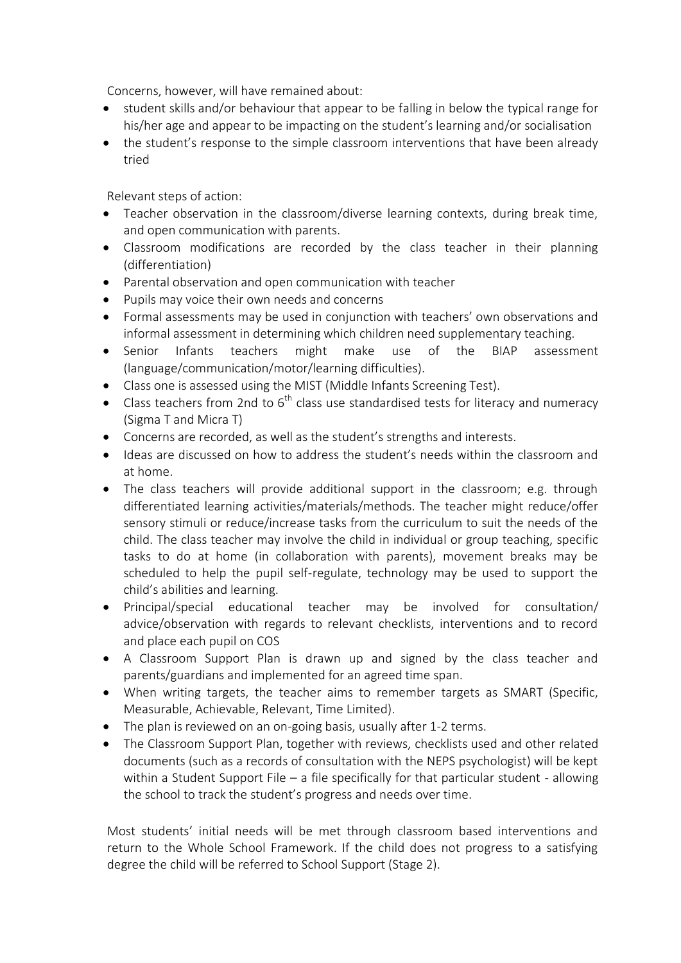Concerns, however, will have remained about:

- student skills and/or behaviour that appear to be falling in below the typical range for his/her age and appear to be impacting on the student's learning and/or socialisation
- the student's response to the simple classroom interventions that have been already tried

Relevant steps of action:

- Teacher observation in the classroom/diverse learning contexts, during break time, and open communication with parents.
- Classroom modifications are recorded by the class teacher in their planning (differentiation)
- Parental observation and open communication with teacher
- Pupils may voice their own needs and concerns
- Formal assessments may be used in conjunction with teachers' own observations and informal assessment in determining which children need supplementary teaching.
- Senior Infants teachers might make use of the BIAP assessment (language/communication/motor/learning difficulties).
- Class one is assessed using the MIST (Middle Infants Screening Test).
- Class teachers from 2nd to  $6<sup>th</sup>$  class use standardised tests for literacy and numeracy (Sigma T and Micra T)
- Concerns are recorded, as well as the student's strengths and interests.
- Ideas are discussed on how to address the student's needs within the classroom and at home.
- The class teachers will provide additional support in the classroom; e.g. through differentiated learning activities/materials/methods. The teacher might reduce/offer sensory stimuli or reduce/increase tasks from the curriculum to suit the needs of the child. The class teacher may involve the child in individual or group teaching, specific tasks to do at home (in collaboration with parents), movement breaks may be scheduled to help the pupil self-regulate, technology may be used to support the child's abilities and learning.
- Principal/special educational teacher may be involved for consultation/ advice/observation with regards to relevant checklists, interventions and to record and place each pupil on COS
- A Classroom Support Plan is drawn up and signed by the class teacher and parents/guardians and implemented for an agreed time span.
- When writing targets, the teacher aims to remember targets as SMART (Specific, Measurable, Achievable, Relevant, Time Limited).
- The plan is reviewed on an on-going basis, usually after 1-2 terms.
- The Classroom Support Plan, together with reviews, checklists used and other related documents (such as a records of consultation with the NEPS psychologist) will be kept within a Student Support File – a file specifically for that particular student - allowing the school to track the student's progress and needs over time.

Most students' initial needs will be met through classroom based interventions and return to the Whole School Framework. If the child does not progress to a satisfying degree the child will be referred to School Support (Stage 2).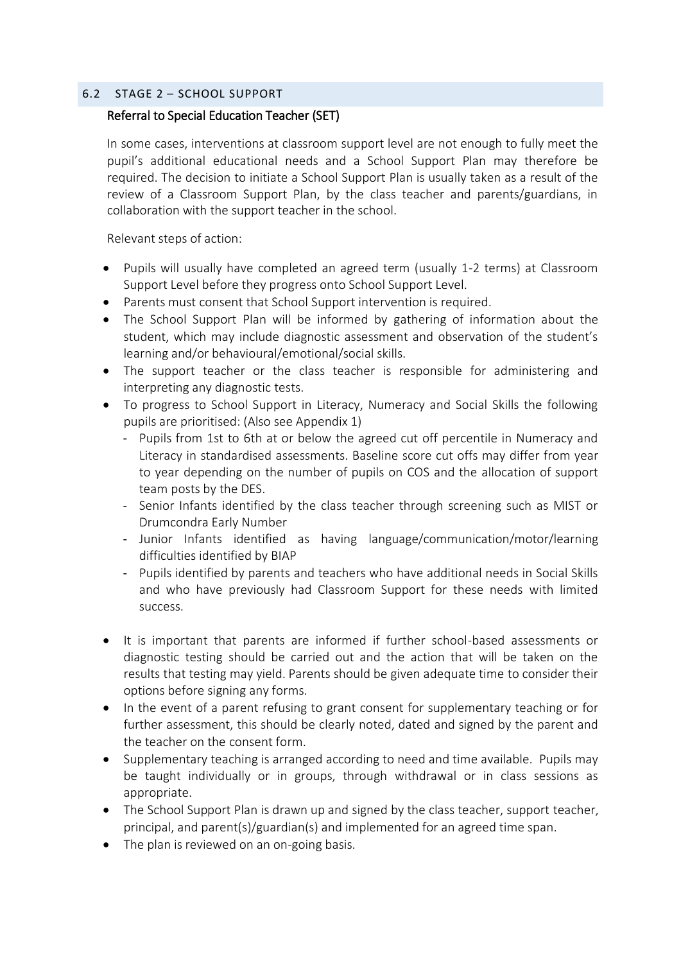## 6.2 STAGE 2 – SCHOOL SUPPORT

# Referral to Special Education Teacher (SET)

In some cases, interventions at classroom support level are not enough to fully meet the pupil's additional educational needs and a School Support Plan may therefore be required. The decision to initiate a School Support Plan is usually taken as a result of the review of a Classroom Support Plan, by the class teacher and parents/guardians, in collaboration with the support teacher in the school.

Relevant steps of action:

- Pupils will usually have completed an agreed term (usually 1-2 terms) at Classroom Support Level before they progress onto School Support Level.
- Parents must consent that School Support intervention is required.
- The School Support Plan will be informed by gathering of information about the student, which may include diagnostic assessment and observation of the student's learning and/or behavioural/emotional/social skills.
- The support teacher or the class teacher is responsible for administering and interpreting any diagnostic tests.
- To progress to School Support in Literacy, Numeracy and Social Skills the following pupils are prioritised: (Also see Appendix 1)
	- Pupils from 1st to 6th at or below the agreed cut off percentile in Numeracy and Literacy in standardised assessments. Baseline score cut offs may differ from year to year depending on the number of pupils on COS and the allocation of support team posts by the DES.
	- Senior Infants identified by the class teacher through screening such as MIST or Drumcondra Early Number
	- Junior Infants identified as having language/communication/motor/learning difficulties identified by BIAP
	- Pupils identified by parents and teachers who have additional needs in Social Skills and who have previously had Classroom Support for these needs with limited success.
- It is important that parents are informed if further school-based assessments or diagnostic testing should be carried out and the action that will be taken on the results that testing may yield. Parents should be given adequate time to consider their options before signing any forms.
- In the event of a parent refusing to grant consent for supplementary teaching or for further assessment, this should be clearly noted, dated and signed by the parent and the teacher on the consent form.
- Supplementary teaching is arranged according to need and time available. Pupils may be taught individually or in groups, through withdrawal or in class sessions as appropriate.
- The School Support Plan is drawn up and signed by the class teacher, support teacher, principal, and parent(s)/guardian(s) and implemented for an agreed time span.
- The plan is reviewed on an on-going basis.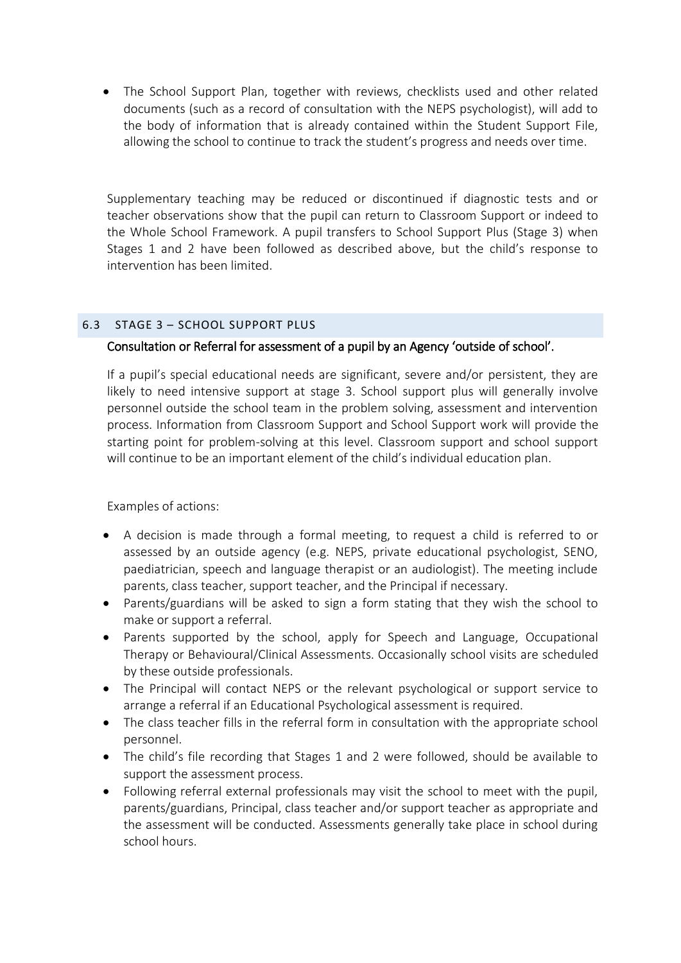The School Support Plan, together with reviews, checklists used and other related documents (such as a record of consultation with the NEPS psychologist), will add to the body of information that is already contained within the Student Support File, allowing the school to continue to track the student's progress and needs over time.

Supplementary teaching may be reduced or discontinued if diagnostic tests and or teacher observations show that the pupil can return to Classroom Support or indeed to the Whole School Framework. A pupil transfers to School Support Plus (Stage 3) when Stages 1 and 2 have been followed as described above, but the child's response to intervention has been limited.

# 6.3 STAGE 3 – SCHOOL SUPPORT PLUS

# Consultation or Referral for assessment of a pupil by an Agency 'outside of school'.

If a pupil's special educational needs are significant, severe and/or persistent, they are likely to need intensive support at stage 3. School support plus will generally involve personnel outside the school team in the problem solving, assessment and intervention process. Information from Classroom Support and School Support work will provide the starting point for problem-solving at this level. Classroom support and school support will continue to be an important element of the child's individual education plan.

Examples of actions:

- A decision is made through a formal meeting, to request a child is referred to or assessed by an outside agency (e.g. NEPS, private educational psychologist, SENO, paediatrician, speech and language therapist or an audiologist). The meeting include parents, class teacher, support teacher, and the Principal if necessary.
- Parents/guardians will be asked to sign a form stating that they wish the school to make or support a referral.
- Parents supported by the school, apply for Speech and Language, Occupational Therapy or Behavioural/Clinical Assessments. Occasionally school visits are scheduled by these outside professionals.
- The Principal will contact NEPS or the relevant psychological or support service to arrange a referral if an Educational Psychological assessment is required.
- The class teacher fills in the referral form in consultation with the appropriate school personnel.
- The child's file recording that Stages 1 and 2 were followed, should be available to support the assessment process.
- Following referral external professionals may visit the school to meet with the pupil, parents/guardians, Principal, class teacher and/or support teacher as appropriate and the assessment will be conducted. Assessments generally take place in school during school hours.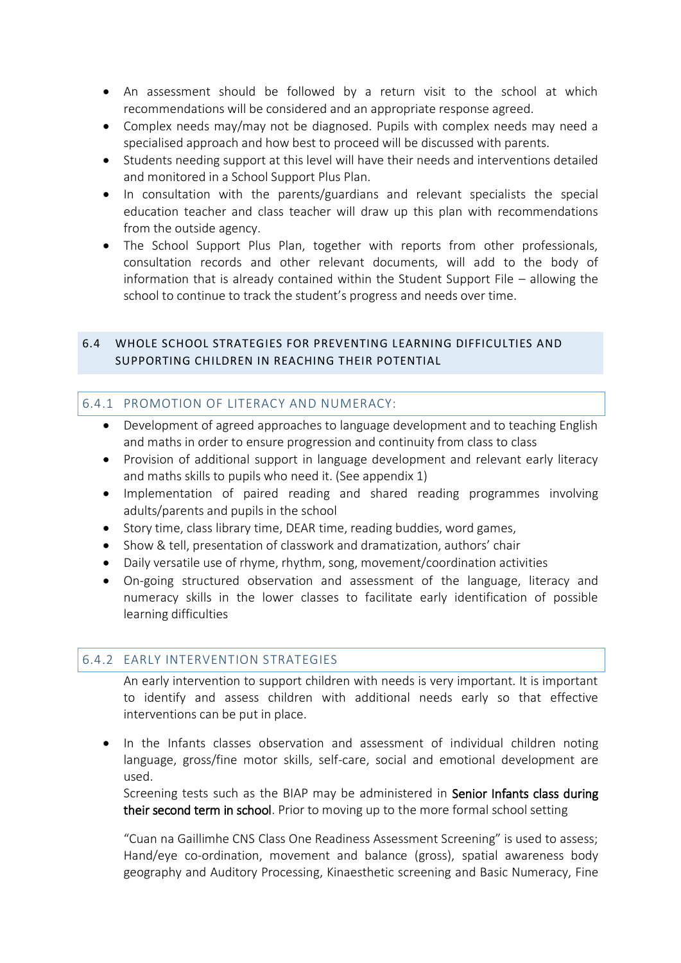- An assessment should be followed by a return visit to the school at which recommendations will be considered and an appropriate response agreed.
- Complex needs may/may not be diagnosed. Pupils with complex needs may need a specialised approach and how best to proceed will be discussed with parents.
- Students needing support at this level will have their needs and interventions detailed and monitored in a School Support Plus Plan.
- In consultation with the parents/guardians and relevant specialists the special education teacher and class teacher will draw up this plan with recommendations from the outside agency.
- The School Support Plus Plan, together with reports from other professionals, consultation records and other relevant documents, will add to the body of information that is already contained within the Student Support File – allowing the school to continue to track the student's progress and needs over time.

# 6.4 WHOLE SCHOOL STRATEGIES FOR PREVENTING LEARNING DIFFICULTIES AND SUPPORTING CHILDREN IN REACHING THEIR POTENTIAL

# 6.4.1 PROMOTION OF LITERACY AND NUMERACY:

- Development of agreed approaches to language development and to teaching English and maths in order to ensure progression and continuity from class to class
- Provision of additional support in language development and relevant early literacy and maths skills to pupils who need it. (See appendix 1)
- Implementation of paired reading and shared reading programmes involving adults/parents and pupils in the school
- Story time, class library time, DEAR time, reading buddies, word games,
- Show & tell, presentation of classwork and dramatization, authors' chair
- Daily versatile use of rhyme, rhythm, song, movement/coordination activities
- On-going structured observation and assessment of the language, literacy and numeracy skills in the lower classes to facilitate early identification of possible learning difficulties

# 6.4.2 EARLY INTERVENTION STRATEGIES

An early intervention to support children with needs is very important. It is important to identify and assess children with additional needs early so that effective interventions can be put in place.

• In the Infants classes observation and assessment of individual children noting language, gross/fine motor skills, self-care, social and emotional development are used.

Screening tests such as the BIAP may be administered in Senior Infants class during their second term in school. Prior to moving up to the more formal school setting

"Cuan na Gaillimhe CNS Class One Readiness Assessment Screening" is used to assess; Hand/eye co-ordination, movement and balance (gross), spatial awareness body geography and Auditory Processing, Kinaesthetic screening and Basic Numeracy, Fine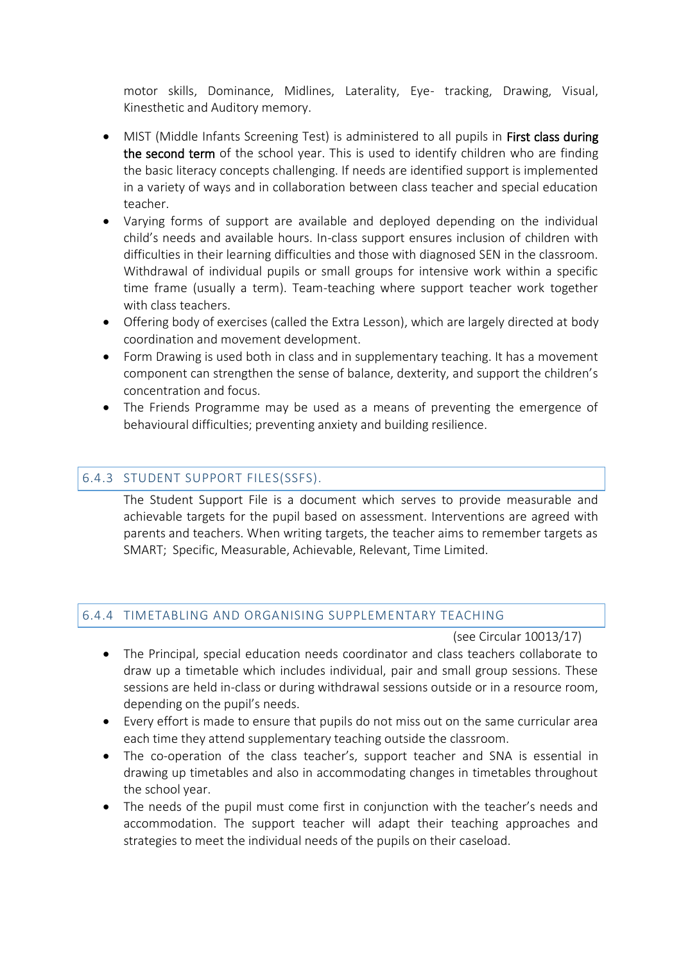motor skills, Dominance, Midlines, Laterality, Eye- tracking, Drawing, Visual, Kinesthetic and Auditory memory.

- MIST (Middle Infants Screening Test) is administered to all pupils in First class during the second term of the school year. This is used to identify children who are finding the basic literacy concepts challenging. If needs are identified support is implemented in a variety of ways and in collaboration between class teacher and special education teacher.
- Varying forms of support are available and deployed depending on the individual child's needs and available hours. In-class support ensures inclusion of children with difficulties in their learning difficulties and those with diagnosed SEN in the classroom. Withdrawal of individual pupils or small groups for intensive work within a specific time frame (usually a term). Team-teaching where support teacher work together with class teachers.
- Offering body of exercises (called the Extra Lesson), which are largely directed at body coordination and movement development.
- Form Drawing is used both in class and in supplementary teaching. It has a movement component can strengthen the sense of balance, dexterity, and support the children's concentration and focus.
- The Friends Programme may be used as a means of preventing the emergence of behavioural difficulties; preventing anxiety and building resilience.

# 6.4.3 STUDENT SUPPORT FILES(SSFS).

The Student Support File is a document which serves to provide measurable and achievable targets for the pupil based on assessment. Interventions are agreed with parents and teachers. When writing targets, the teacher aims to remember targets as SMART; Specific, Measurable, Achievable, Relevant, Time Limited.

## 6.4.4 TIMETABLING AND ORGANISING SUPPLEMENTARY TEACHING

#### (see Circular 10013/17)

- The Principal, special education needs coordinator and class teachers collaborate to draw up a timetable which includes individual, pair and small group sessions. These sessions are held in-class or during withdrawal sessions outside or in a resource room, depending on the pupil's needs.
- Every effort is made to ensure that pupils do not miss out on the same curricular area each time they attend supplementary teaching outside the classroom.
- The co-operation of the class teacher's, support teacher and SNA is essential in drawing up timetables and also in accommodating changes in timetables throughout the school year.
- The needs of the pupil must come first in conjunction with the teacher's needs and accommodation. The support teacher will adapt their teaching approaches and strategies to meet the individual needs of the pupils on their caseload.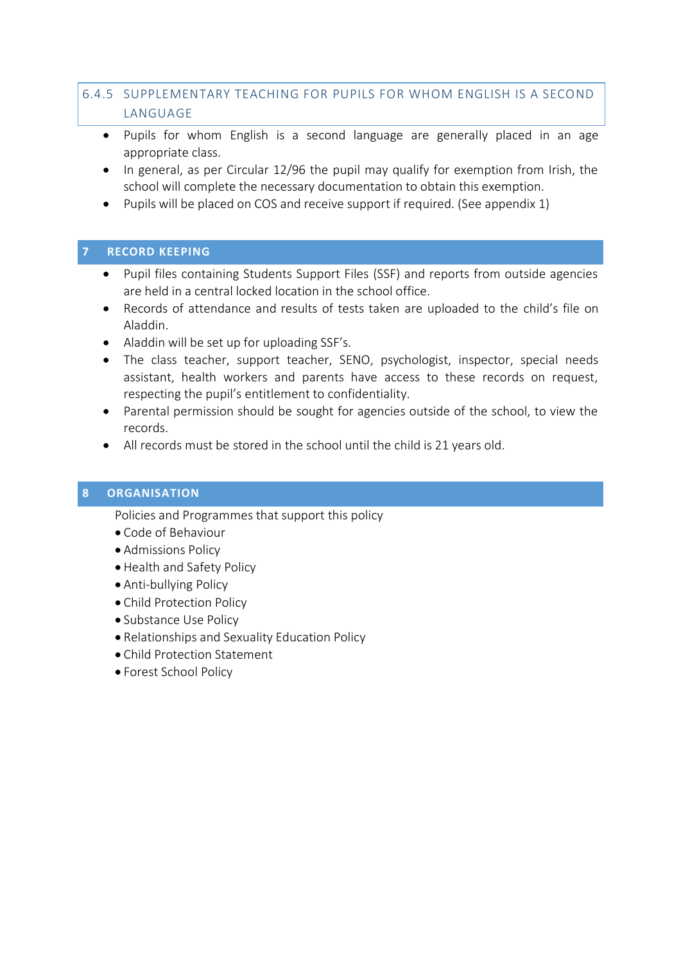# 6.4.5 SUPPLEMENTARY TEACHING FOR PUPILS FOR WHOM ENGLISH IS A SECOND LANGUAGE

- Pupils for whom English is a second language are generally placed in an age appropriate class.
- In general, as per Circular 12/96 the pupil may qualify for exemption from Irish, the school will complete the necessary documentation to obtain this exemption.
- Pupils will be placed on COS and receive support if required. (See appendix 1)

# <span id="page-14-0"></span>**7 RECORD KEEPING**

- Pupil files containing Students Support Files (SSF) and reports from outside agencies are held in a central locked location in the school office.
- Records of attendance and results of tests taken are uploaded to the child's file on Aladdin.
- Aladdin will be set up for uploading SSF's.
- The class teacher, support teacher, SENO, psychologist, inspector, special needs assistant, health workers and parents have access to these records on request, respecting the pupil's entitlement to confidentiality.
- Parental permission should be sought for agencies outside of the school, to view the records.
- All records must be stored in the school until the child is 21 years old.

# <span id="page-14-1"></span>**8 ORGANISATION**

Policies and Programmes that support this policy

- Code of Behaviour
- Admissions Policy
- Health and Safety Policy
- Anti-bullying Policy
- Child Protection Policy
- Substance Use Policy
- Relationships and Sexuality Education Policy
- Child Protection Statement
- Forest School Policy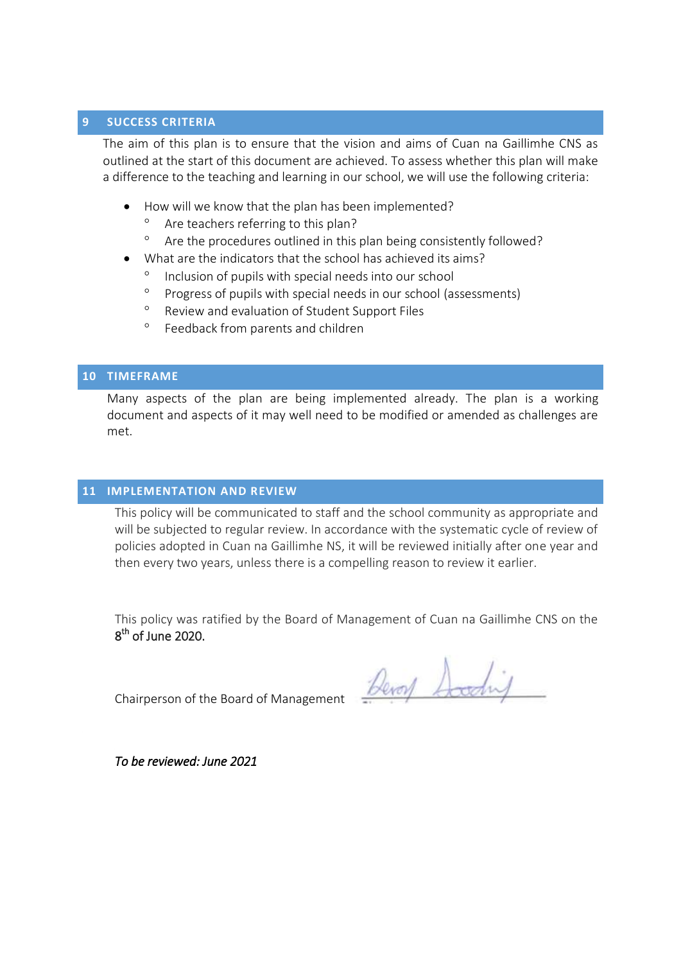## <span id="page-15-0"></span>**9 SUCCESS CRITERIA**

The aim of this plan is to ensure that the vision and aims of Cuan na Gaillimhe CNS as outlined at the start of this document are achieved. To assess whether this plan will make a difference to the teaching and learning in our school, we will use the following criteria:

- How will we know that the plan has been implemented?
	- <sup>o</sup> Are teachers referring to this plan?
	- <sup>o</sup> Are the procedures outlined in this plan being consistently followed?
- What are the indicators that the school has achieved its aims?
	- Inclusion of pupils with special needs into our school
	- <sup>o</sup> Progress of pupils with special needs in our school (assessments)
	- Review and evaluation of Student Support Files
	- <sup>o</sup> Feedback from parents and children

# <span id="page-15-1"></span>**10 TIMEFRAME**

Many aspects of the plan are being implemented already. The plan is a working document and aspects of it may well need to be modified or amended as challenges are met.

#### <span id="page-15-2"></span>**11 IMPLEMENTATION AND REVIEW**

This policy will be communicated to staff and the school community as appropriate and will be subjected to regular review. In accordance with the systematic cycle of review of policies adopted in Cuan na Gaillimhe NS, it will be reviewed initially after one year and then every two years, unless there is a compelling reason to review it earlier.

This policy was ratified by the Board of Management of Cuan na Gaillimhe CNS on the 8<sup>th</sup> of June 2020.

Chairperson of the Board of Management

Devoy Scoding

*To be reviewed: June 2021*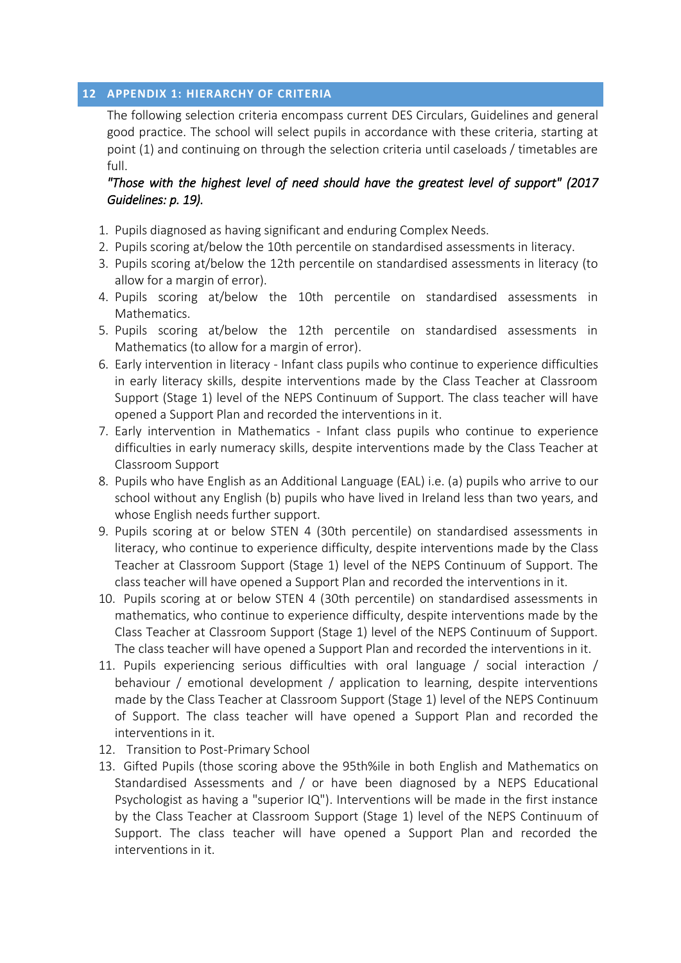# <span id="page-16-0"></span>**12 APPENDIX 1: HIERARCHY OF CRITERIA**

The following selection criteria encompass current DES Circulars, Guidelines and general good practice. The school will select pupils in accordance with these criteria, starting at point (1) and continuing on through the selection criteria until caseloads / timetables are full.

# *"Those with the highest level of need should have the greatest level of support" (2017 Guidelines: p. 19).*

- 1. Pupils diagnosed as having significant and enduring Complex Needs.
- 2. Pupils scoring at/below the 10th percentile on standardised assessments in literacy.
- 3. Pupils scoring at/below the 12th percentile on standardised assessments in literacy (to allow for a margin of error).
- 4. Pupils scoring at/below the 10th percentile on standardised assessments in Mathematics.
- 5. Pupils scoring at/below the 12th percentile on standardised assessments in Mathematics (to allow for a margin of error).
- 6. Early intervention in literacy Infant class pupils who continue to experience difficulties in early literacy skills, despite interventions made by the Class Teacher at Classroom Support (Stage 1) level of the NEPS Continuum of Support. The class teacher will have opened a Support Plan and recorded the interventions in it.
- 7. Early intervention in Mathematics Infant class pupils who continue to experience difficulties in early numeracy skills, despite interventions made by the Class Teacher at Classroom Support
- 8. Pupils who have English as an Additional Language (EAL) i.e. (a) pupils who arrive to our school without any English (b) pupils who have lived in Ireland less than two years, and whose English needs further support.
- 9. Pupils scoring at or below STEN 4 (30th percentile) on standardised assessments in literacy, who continue to experience difficulty, despite interventions made by the Class Teacher at Classroom Support (Stage 1) level of the NEPS Continuum of Support. The class teacher will have opened a Support Plan and recorded the interventions in it.
- 10. Pupils scoring at or below STEN 4 (30th percentile) on standardised assessments in mathematics, who continue to experience difficulty, despite interventions made by the Class Teacher at Classroom Support (Stage 1) level of the NEPS Continuum of Support. The class teacher will have opened a Support Plan and recorded the interventions in it.
- 11. Pupils experiencing serious difficulties with oral language / social interaction / behaviour / emotional development / application to learning, despite interventions made by the Class Teacher at Classroom Support (Stage 1) level of the NEPS Continuum of Support. The class teacher will have opened a Support Plan and recorded the interventions in it.
- 12. Transition to Post-Primary School
- 13. Gifted Pupils (those scoring above the 95th%ile in both English and Mathematics on Standardised Assessments and / or have been diagnosed by a NEPS Educational Psychologist as having a "superior IQ"). Interventions will be made in the first instance by the Class Teacher at Classroom Support (Stage 1) level of the NEPS Continuum of Support. The class teacher will have opened a Support Plan and recorded the interventions in it.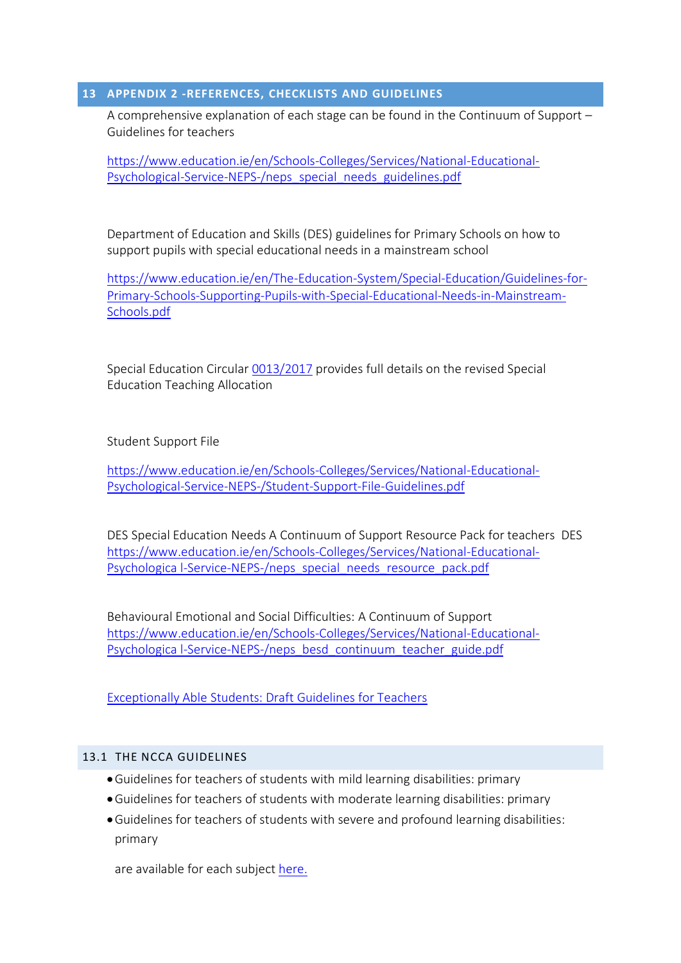## <span id="page-17-0"></span>**13 APPENDIX 2 -REFERENCES, CHECKLISTS AND GUIDELINES**

A comprehensive explanation of each stage can be found in the Continuum of Support – Guidelines for teachers

[https://www.education.ie/en/Schools-Colleges/Services/National-Educational-](https://www.education.ie/en/Schools-Colleges/Services/National-Educational-Psychological-Service-NEPS-/neps_special_needs_guidelines.pdf)[Psychological-Service-NEPS-/neps\\_special\\_needs\\_guidelines.pdf](https://www.education.ie/en/Schools-Colleges/Services/National-Educational-Psychological-Service-NEPS-/neps_special_needs_guidelines.pdf)

Department of Education and Skills (DES) guidelines for Primary Schools on how to support pupils with special educational needs in a mainstream school

[https://www.education.ie/en/The-Education-System/Special-Education/Guidelines-for-](https://www.education.ie/en/The-Education-System/Special-Education/Guidelines-for-Primary-Schools-Supporting-Pupils-with-Special-Educational-Needs-in-Mainstream-Schools.pdf)[Primary-Schools-Supporting-Pupils-with-Special-Educational-Needs-in-Mainstream-](https://www.education.ie/en/The-Education-System/Special-Education/Guidelines-for-Primary-Schools-Supporting-Pupils-with-Special-Educational-Needs-in-Mainstream-Schools.pdf)[Schools.pdf](https://www.education.ie/en/The-Education-System/Special-Education/Guidelines-for-Primary-Schools-Supporting-Pupils-with-Special-Educational-Needs-in-Mainstream-Schools.pdf)

Special Education Circular [0013/2017](https://www.education.ie/en/Circulars-and-Forms/Active-Circulars/cl0013_2017.pdf) provides full details on the revised Special Education Teaching Allocation

Student Support File

[https://www.education.ie/en/Schools-Colleges/Services/National-Educational-](https://www.education.ie/en/Schools-Colleges/Services/National-Educational-Psychological-Service-NEPS-/Student-Support-File-Guidelines.pdf)[Psychological-Service-NEPS-/Student-Support-File-Guidelines.pdf](https://www.education.ie/en/Schools-Colleges/Services/National-Educational-Psychological-Service-NEPS-/Student-Support-File-Guidelines.pdf) 

DES Special Education Needs A Continuum of Support Resource Pack for teachers DES [https://www.education.ie/en/Schools-Colleges/Services/National-Educational-](https://www.education.ie/en/Schools-Colleges/Services/National-Educational-Psychologica%20l-Service-NEPS-/neps_special_needs_resource_pack.pdf)[Psychologica l-Service-NEPS-/neps\\_special\\_needs\\_resource\\_pack.pdf](https://www.education.ie/en/Schools-Colleges/Services/National-Educational-Psychologica%20l-Service-NEPS-/neps_special_needs_resource_pack.pdf)

Behavioural Emotional and Social Difficulties: A Continuum of Support [https://www.education.ie/en/Schools-Colleges/Services/National-Educational-](https://www.education.ie/en/Schools-Colleges/Services/National-Educational-Psychologica%20l-Service-NEPS-/neps_besd_continuum_teacher_guide.pdf)[Psychologica l-Service-NEPS-/neps\\_besd\\_continuum\\_teacher\\_guide.pdf](https://www.education.ie/en/Schools-Colleges/Services/National-Educational-Psychologica%20l-Service-NEPS-/neps_besd_continuum_teacher_guide.pdf)

[Exceptionally](https://ncca.ie/media/1974/exceptionally_able_students_draft_guidelines_for_teachers.pdf) Able Students: Draft Guidelines for Teachers

# 13.1 THE NCCA GUIDELINES

- Guidelines for teachers of students with mild learning disabilities: primary
- Guidelines for teachers of students with moderate learning disabilities: primary
- Guidelines for teachers of students with severe and profound learning disabilities: primary

are available for each subject [here.](https://www.sess.ie/resources/curricular-material)